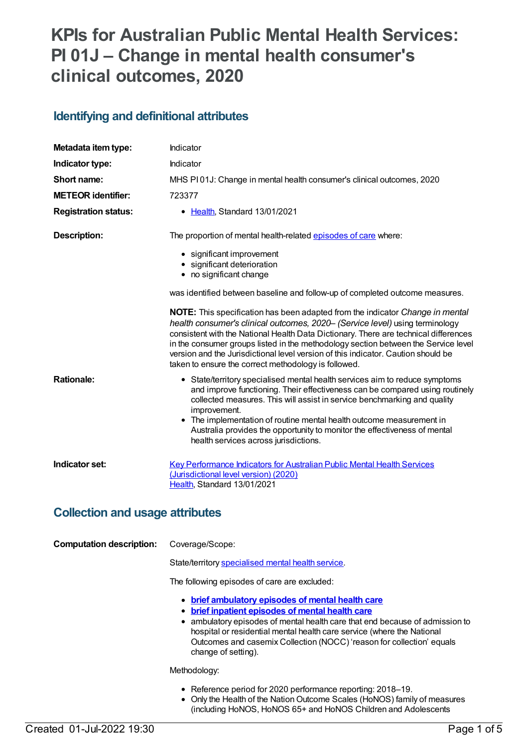# **KPIs for Australian Public Mental Health Services: PI 01J – Change in mental health consumer's clinical outcomes, 2020**

### **Identifying and definitional attributes**

| Metadata item type:                    | Indicator                                                                                                                                                                                                                                                                                                                                                                                                                                                                                              |  |
|----------------------------------------|--------------------------------------------------------------------------------------------------------------------------------------------------------------------------------------------------------------------------------------------------------------------------------------------------------------------------------------------------------------------------------------------------------------------------------------------------------------------------------------------------------|--|
| Indicator type:                        | Indicator                                                                                                                                                                                                                                                                                                                                                                                                                                                                                              |  |
| Short name:                            | MHS PI01J: Change in mental health consumer's clinical outcomes, 2020                                                                                                                                                                                                                                                                                                                                                                                                                                  |  |
| <b>METEOR identifier:</b>              | 723377                                                                                                                                                                                                                                                                                                                                                                                                                                                                                                 |  |
| <b>Registration status:</b>            | • Health, Standard 13/01/2021                                                                                                                                                                                                                                                                                                                                                                                                                                                                          |  |
| <b>Description:</b>                    | The proportion of mental health-related episodes of care where:                                                                                                                                                                                                                                                                                                                                                                                                                                        |  |
|                                        | • significant improvement<br>• significant deterioration<br>• no significant change                                                                                                                                                                                                                                                                                                                                                                                                                    |  |
|                                        | was identified between baseline and follow-up of completed outcome measures.                                                                                                                                                                                                                                                                                                                                                                                                                           |  |
|                                        | <b>NOTE:</b> This specification has been adapted from the indicator <i>Change in mental</i><br>health consumer's clinical outcomes, 2020- (Service level) using terminology<br>consistent with the National Health Data Dictionary. There are technical differences<br>in the consumer groups listed in the methodology section between the Service level<br>version and the Jurisdictional level version of this indicator. Caution should be<br>taken to ensure the correct methodology is followed. |  |
| <b>Rationale:</b>                      | • State/territory specialised mental health services aim to reduce symptoms<br>and improve functioning. Their effectiveness can be compared using routinely<br>collected measures. This will assist in service benchmarking and quality<br>improvement.<br>• The implementation of routine mental health outcome measurement in<br>Australia provides the opportunity to monitor the effectiveness of mental<br>health services across jurisdictions.                                                  |  |
| Indicator set:                         | <b>Key Performance Indicators for Australian Public Mental Health Services</b><br>(Jurisdictional level version) (2020)<br>Health, Standard 13/01/2021                                                                                                                                                                                                                                                                                                                                                 |  |
| <b>Collection and usage attributes</b> |                                                                                                                                                                                                                                                                                                                                                                                                                                                                                                        |  |
| <b>Computation description:</b>        | Coverage/Scope:                                                                                                                                                                                                                                                                                                                                                                                                                                                                                        |  |
|                                        | State/territory specialised mental health service.                                                                                                                                                                                                                                                                                                                                                                                                                                                     |  |
|                                        | The following episodes of care are excluded:                                                                                                                                                                                                                                                                                                                                                                                                                                                           |  |
|                                        | • brief ambulatory episodes of mental health care<br>• brief inpatient episodes of mental health care<br>• ambulatory episodes of mental health care that end because of admission to<br>hospital or residential mental health care service (where the National<br>Outcomes and casemix Collection (NOCC) 'reason for collection' equals<br>change of setting).                                                                                                                                        |  |

Methodology:

- Reference period for 2020 performance reporting: 2018–19.
- Only the Health of the Nation Outcome Scales (HoNOS) family of measures (including HoNOS, HoNOS 65+ and HoNOS Children and Adolescents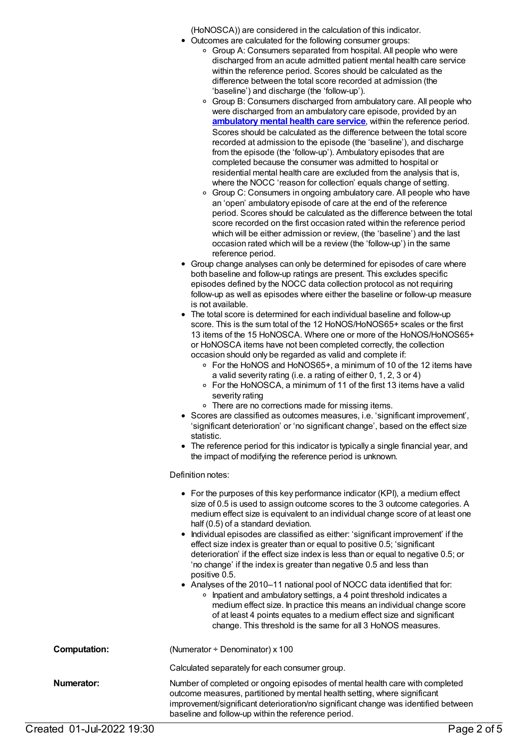(HoNOSCA)) are considered in the calculation of this indicator.

- Outcomes are calculated for the following consumer groups:
	- Group A: Consumers separated from hospital. All people who were discharged from an acute admitted patient mental health care service within the reference period. Scores should be calculated as the difference between the total score recorded at admission (the 'baseline') and discharge (the 'follow-up').
	- Group B: Consumers discharged from ambulatory care. All people who were discharged from an ambulatory care episode, provided by an **[ambulatory](https://meteor.aihw.gov.au/content/699980) mental health care service**, within the reference period. Scores should be calculated as the difference between the total score recorded at admission to the episode (the 'baseline'), and discharge from the episode (the 'follow-up'). Ambulatory episodes that are completed because the consumer was admitted to hospital or residential mental health care are excluded from the analysis that is, where the NOCC 'reason for collection' equals change of setting.
	- o Group C: Consumers in ongoing ambulatory care. All people who have an 'open' ambulatory episode of care at the end of the reference period. Scores should be calculated as the difference between the total score recorded on the first occasion rated within the reference period which will be either admission or review, (the 'baseline') and the last occasion rated which will be a review (the 'follow-up') in the same reference period.
- Group change analyses can only be determined for episodes of care where both baseline and follow-up ratings are present. This excludes specific episodes defined by the NOCC data collection protocol as not requiring follow-up as well as episodes where either the baseline or follow-up measure is not available.
- The total score is determined for each individual baseline and follow-up score. This is the sum total of the 12 HoNOS/HoNOS65+ scales or the first 13 items of the 15 HoNOSCA. Where one or more of the HoNOS/HoNOS65+ or HoNOSCA items have not been completed correctly, the collection occasion should only be regarded as valid and complete if:
	- For the HoNOS and HoNOS65+, a minimum of 10 of the 12 items have a valid severity rating (i.e. a rating of either 0, 1, 2, 3 or 4)
	- For the HoNOSCA, a minimum of 11 of the first 13 items have a valid severity rating
	- There are no corrections made for missing items.
- Scores are classified as outcomes measures, i.e. 'significant improvement', 'significant deterioration' or 'no significant change', based on the effect size statistic.
- The reference period for this indicator is typically a single financial year, and the impact of modifying the reference period is unknown.

### Definition notes:

|                     | • For the purposes of this key performance indicator (KPI), a medium effect<br>size of 0.5 is used to assign outcome scores to the 3 outcome categories. A<br>medium effect size is equivalent to an individual change score of at least one<br>half (0.5) of a standard deviation.<br>• Individual episodes are classified as either: 'significant improvement' if the<br>effect size index is greater than or equal to positive 0.5; 'significant<br>deterioration' if the effect size index is less than or equal to negative 0.5; or<br>'no change' if the index is greater than negative 0.5 and less than<br>positive 0.5.<br>• Analyses of the 2010–11 national pool of NOCC data identified that for:<br>Inpatient and ambulatory settings, a 4 point threshold indicates a<br>$\circ$<br>medium effect size. In practice this means an individual change score<br>of at least 4 points equates to a medium effect size and significant<br>change. This threshold is the same for all 3 HoNOS measures. |
|---------------------|-----------------------------------------------------------------------------------------------------------------------------------------------------------------------------------------------------------------------------------------------------------------------------------------------------------------------------------------------------------------------------------------------------------------------------------------------------------------------------------------------------------------------------------------------------------------------------------------------------------------------------------------------------------------------------------------------------------------------------------------------------------------------------------------------------------------------------------------------------------------------------------------------------------------------------------------------------------------------------------------------------------------|
| <b>Computation:</b> | (Numerator $\div$ Denominator) x 100                                                                                                                                                                                                                                                                                                                                                                                                                                                                                                                                                                                                                                                                                                                                                                                                                                                                                                                                                                            |
|                     | Calculated separately for each consumer group.                                                                                                                                                                                                                                                                                                                                                                                                                                                                                                                                                                                                                                                                                                                                                                                                                                                                                                                                                                  |
| Numerator:          | Number of completed or ongoing episodes of mental health care with completed<br>outcome measures, partitioned by mental health setting, where significant<br>improvement/significant deterioration/no significant change was identified between<br>baseline and follow-up within the reference period.                                                                                                                                                                                                                                                                                                                                                                                                                                                                                                                                                                                                                                                                                                          |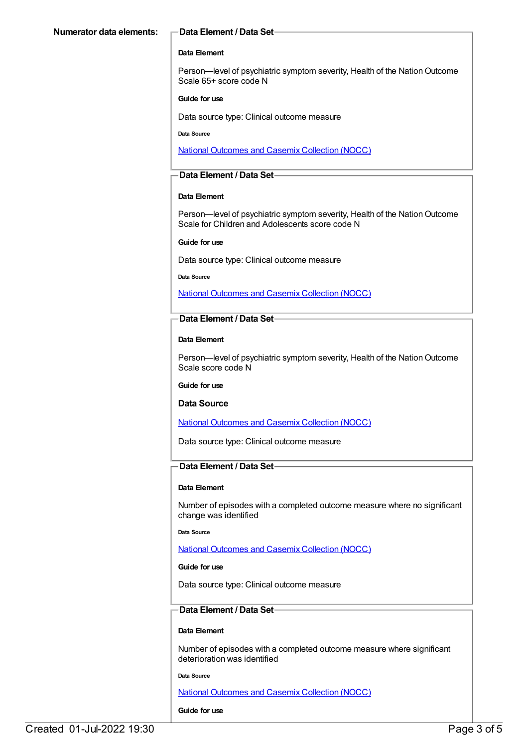#### **Data Element**

Person—level of psychiatric symptom severity, Health of the Nation Outcome Scale 65+ score code N

#### **Guide for use**

Data source type: Clinical outcome measure

**Data Source**

National [Outcomes](file:///content/636931) and Casemix Collection (NOCC)

### **Data Element / Data Set**

#### **Data Element**

Person—level of psychiatric symptom severity, Health of the Nation Outcome Scale for Children and Adolescents score code N

#### **Guide for use**

Data source type: Clinical outcome measure

#### **Data Source**

National [Outcomes](file:///content/636931) and Casemix Collection (NOCC)

#### **Data Element / Data Set**

#### **Data Element**

Person—level of psychiatric symptom severity, Health of the Nation Outcome Scale score code N

#### **Guide for use**

#### **Data Source**

National [Outcomes](file:///content/636931) and Casemix Collection (NOCC)

Data source type: Clinical outcome measure

#### **Data Element / Data Set**

#### **Data Element**

Number of episodes with a completed outcome measure where no significant change was identified

**Data Source**

National [Outcomes](file:///content/636931) and Casemix Collection (NOCC)

#### **Guide for use**

Data source type: Clinical outcome measure

### **Data Element / Data Set**

#### **Data Element**

Number of episodes with a completed outcome measure where significant deterioration was identified

**Data Source**

National [Outcomes](file:///content/636931) and Casemix Collection (NOCC)

#### **Guide for use**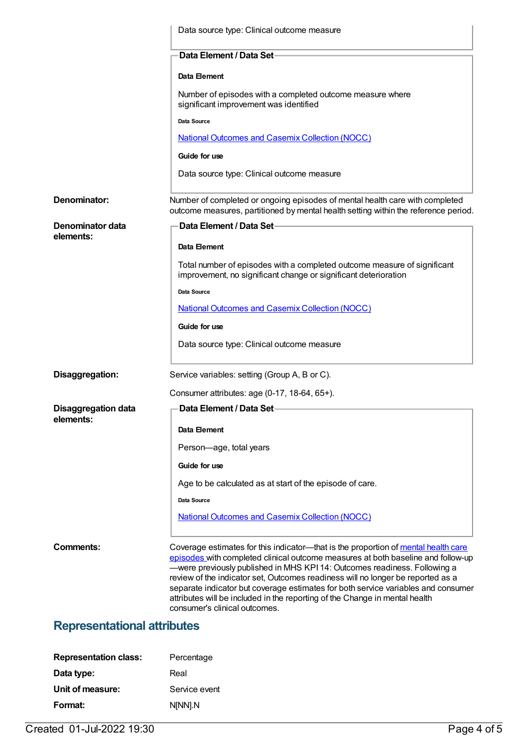|                                         | Data source type: Clinical outcome measure                                                                                                                                                                                                                                                                                                                                                                                                                                                                                                  |
|-----------------------------------------|---------------------------------------------------------------------------------------------------------------------------------------------------------------------------------------------------------------------------------------------------------------------------------------------------------------------------------------------------------------------------------------------------------------------------------------------------------------------------------------------------------------------------------------------|
|                                         | Data Element / Data Set-                                                                                                                                                                                                                                                                                                                                                                                                                                                                                                                    |
|                                         | Data Element                                                                                                                                                                                                                                                                                                                                                                                                                                                                                                                                |
|                                         | Number of episodes with a completed outcome measure where<br>significant improvement was identified                                                                                                                                                                                                                                                                                                                                                                                                                                         |
|                                         | Data Source                                                                                                                                                                                                                                                                                                                                                                                                                                                                                                                                 |
|                                         | National Outcomes and Casemix Collection (NOCC)                                                                                                                                                                                                                                                                                                                                                                                                                                                                                             |
|                                         | Guide for use                                                                                                                                                                                                                                                                                                                                                                                                                                                                                                                               |
|                                         | Data source type: Clinical outcome measure                                                                                                                                                                                                                                                                                                                                                                                                                                                                                                  |
| Denominator:                            | Number of completed or ongoing episodes of mental health care with completed<br>outcome measures, partitioned by mental health setting within the reference period.                                                                                                                                                                                                                                                                                                                                                                         |
| Denominator data<br>elements:           | Data Element / Data Set-                                                                                                                                                                                                                                                                                                                                                                                                                                                                                                                    |
|                                         | Data Element                                                                                                                                                                                                                                                                                                                                                                                                                                                                                                                                |
|                                         | Total number of episodes with a completed outcome measure of significant<br>improvement, no significant change or significant deterioration                                                                                                                                                                                                                                                                                                                                                                                                 |
|                                         | Data Source                                                                                                                                                                                                                                                                                                                                                                                                                                                                                                                                 |
|                                         | <b>National Outcomes and Casemix Collection (NOCC)</b>                                                                                                                                                                                                                                                                                                                                                                                                                                                                                      |
|                                         | Guide for use                                                                                                                                                                                                                                                                                                                                                                                                                                                                                                                               |
|                                         | Data source type: Clinical outcome measure                                                                                                                                                                                                                                                                                                                                                                                                                                                                                                  |
| Disaggregation:                         | Service variables: setting (Group A, B or C).                                                                                                                                                                                                                                                                                                                                                                                                                                                                                               |
|                                         | Consumer attributes: age (0-17, 18-64, 65+).                                                                                                                                                                                                                                                                                                                                                                                                                                                                                                |
| <b>Disaggregation data</b><br>elements: | Data Element / Data Set                                                                                                                                                                                                                                                                                                                                                                                                                                                                                                                     |
|                                         | Data Element                                                                                                                                                                                                                                                                                                                                                                                                                                                                                                                                |
|                                         | Person-age, total years                                                                                                                                                                                                                                                                                                                                                                                                                                                                                                                     |
|                                         | Guide for use                                                                                                                                                                                                                                                                                                                                                                                                                                                                                                                               |
|                                         | Age to be calculated as at start of the episode of care.                                                                                                                                                                                                                                                                                                                                                                                                                                                                                    |
|                                         | Data Source                                                                                                                                                                                                                                                                                                                                                                                                                                                                                                                                 |
|                                         | <b>National Outcomes and Casemix Collection (NOCC)</b>                                                                                                                                                                                                                                                                                                                                                                                                                                                                                      |
| Comments:                               | Coverage estimates for this indicator—that is the proportion of mental health care<br>episodes with completed clinical outcome measures at both baseline and follow-up<br>-were previously published in MHS KPI 14: Outcomes readiness. Following a<br>review of the indicator set, Outcomes readiness will no longer be reported as a<br>separate indicator but coverage estimates for both service variables and consumer<br>attributes will be included in the reporting of the Change in mental health<br>consumer's clinical outcomes. |
| <b>Representational attributes</b>      |                                                                                                                                                                                                                                                                                                                                                                                                                                                                                                                                             |

### **Representational attributes**

| Percentage    |
|---------------|
| Real          |
| Service event |
| N[NN].N       |
|               |